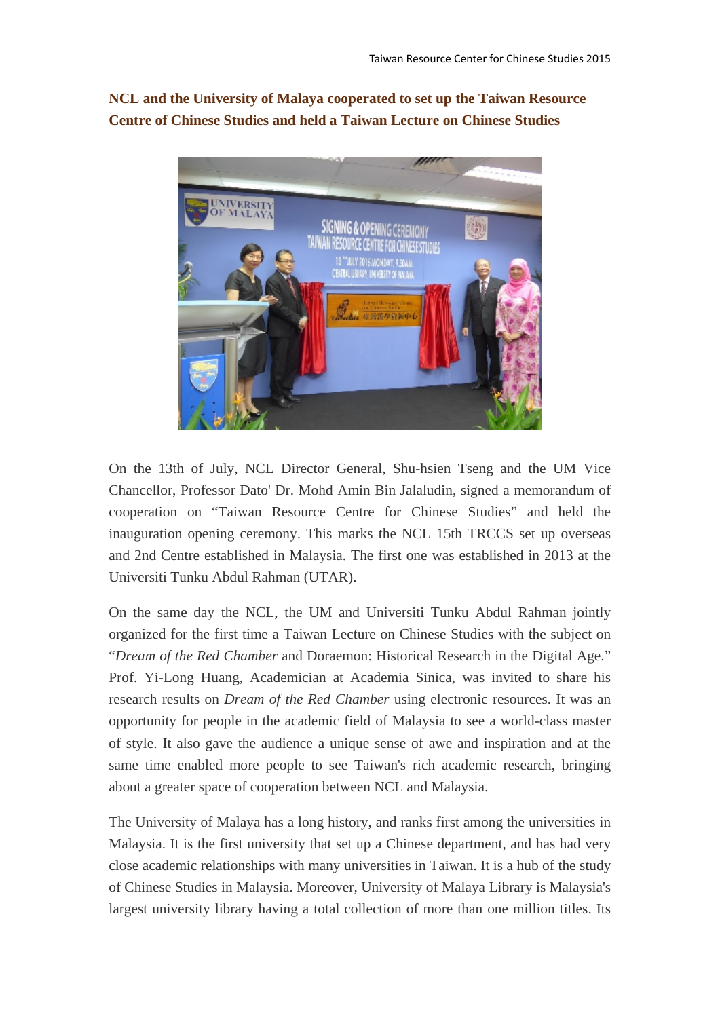**NCL and the University of Malaya cooperated to set up the Taiwan Resource Centre of Chinese Studies and held a Taiwan Lecture on Chinese Studies**



On the 13th of July, NCL Director General, Shu-hsien Tseng and the UM Vice Chancellor, Professor Dato' Dr. Mohd Amin Bin Jalaludin, signed a memorandum of cooperation on "Taiwan Resource Centre for Chinese Studies" and held the inauguration opening ceremony. This marks the NCL 15th TRCCS set up overseas and 2nd Centre established in Malaysia. The first one was established in 2013 at the Universiti Tunku Abdul Rahman (UTAR).

On the same day the NCL, the UM and Universiti Tunku Abdul Rahman jointly organized for the first time a Taiwan Lecture on Chinese Studies with the subject on "*Dream of the Red Chamber* and Doraemon: Historical Research in the Digital Age." Prof. Yi-Long Huang, Academician at Academia Sinica, was invited to share his research results on *Dream of the Red Chamber* using electronic resources. It was an opportunity for people in the academic field of Malaysia to see a world-class master of style. It also gave the audience a unique sense of awe and inspiration and at the same time enabled more people to see Taiwan's rich academic research, bringing about a greater space of cooperation between NCL and Malaysia.

The University of Malaya has a long history, and ranks first among the universities in Malaysia. It is the first university that set up a Chinese department, and has had very close academic relationships with many universities in Taiwan. It is a hub of the study of Chinese Studies in Malaysia. Moreover, University of Malaya Library is Malaysia's largest university library having a total collection of more than one million titles. Its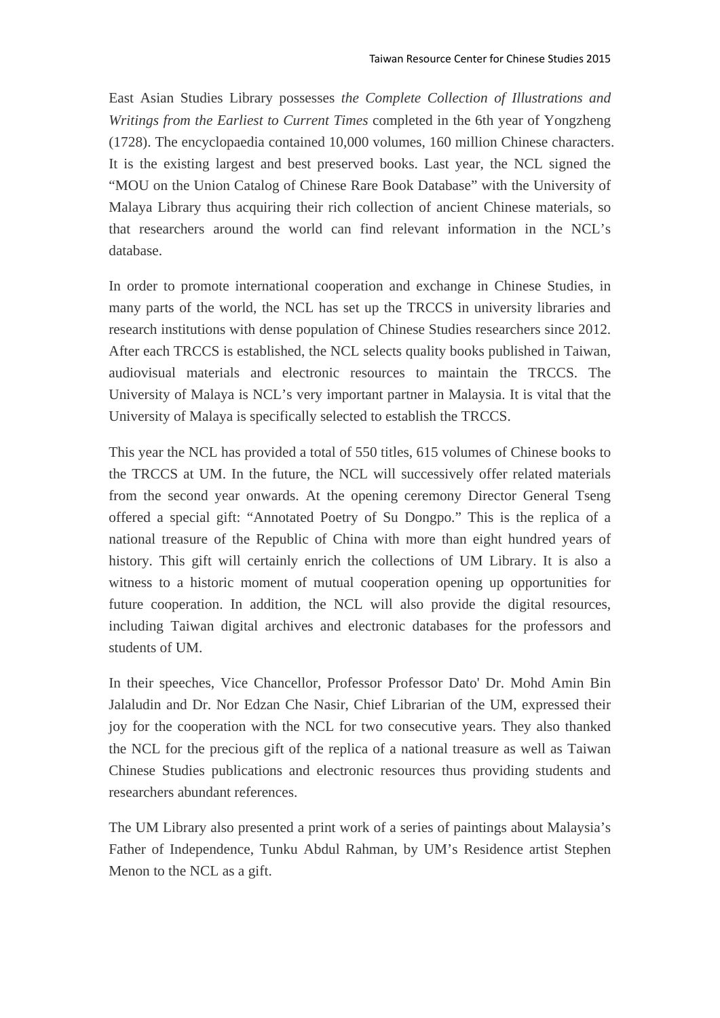East Asian Studies Library possesses *the Complete Collection of Illustrations and Writings from the Earliest to Current Times* completed in the 6th year of Yongzheng (1728). The encyclopaedia contained 10,000 volumes, 160 million Chinese characters. It is the existing largest and best preserved books. Last year, the NCL signed the "MOU on the Union Catalog of Chinese Rare Book Database" with the University of Malaya Library thus acquiring their rich collection of ancient Chinese materials, so that researchers around the world can find relevant information in the NCL's database.

In order to promote international cooperation and exchange in Chinese Studies, in many parts of the world, the NCL has set up the TRCCS in university libraries and research institutions with dense population of Chinese Studies researchers since 2012. After each TRCCS is established, the NCL selects quality books published in Taiwan, audiovisual materials and electronic resources to maintain the TRCCS. The University of Malaya is NCL's very important partner in Malaysia. It is vital that the University of Malaya is specifically selected to establish the TRCCS.

This year the NCL has provided a total of 550 titles, 615 volumes of Chinese books to the TRCCS at UM. In the future, the NCL will successively offer related materials from the second year onwards. At the opening ceremony Director General Tseng offered a special gift: "Annotated Poetry of Su Dongpo." This is the replica of a national treasure of the Republic of China with more than eight hundred years of history. This gift will certainly enrich the collections of UM Library. It is also a witness to a historic moment of mutual cooperation opening up opportunities for future cooperation. In addition, the NCL will also provide the digital resources, including Taiwan digital archives and electronic databases for the professors and students of UM.

In their speeches, Vice Chancellor, Professor Professor Dato' Dr. Mohd Amin Bin Jalaludin and Dr. Nor Edzan Che Nasir, Chief Librarian of the UM, expressed their joy for the cooperation with the NCL for two consecutive years. They also thanked the NCL for the precious gift of the replica of a national treasure as well as Taiwan Chinese Studies publications and electronic resources thus providing students and researchers abundant references.

The UM Library also presented a print work of a series of paintings about Malaysia's Father of Independence, Tunku Abdul Rahman, by UM's Residence artist Stephen Menon to the NCL as a gift.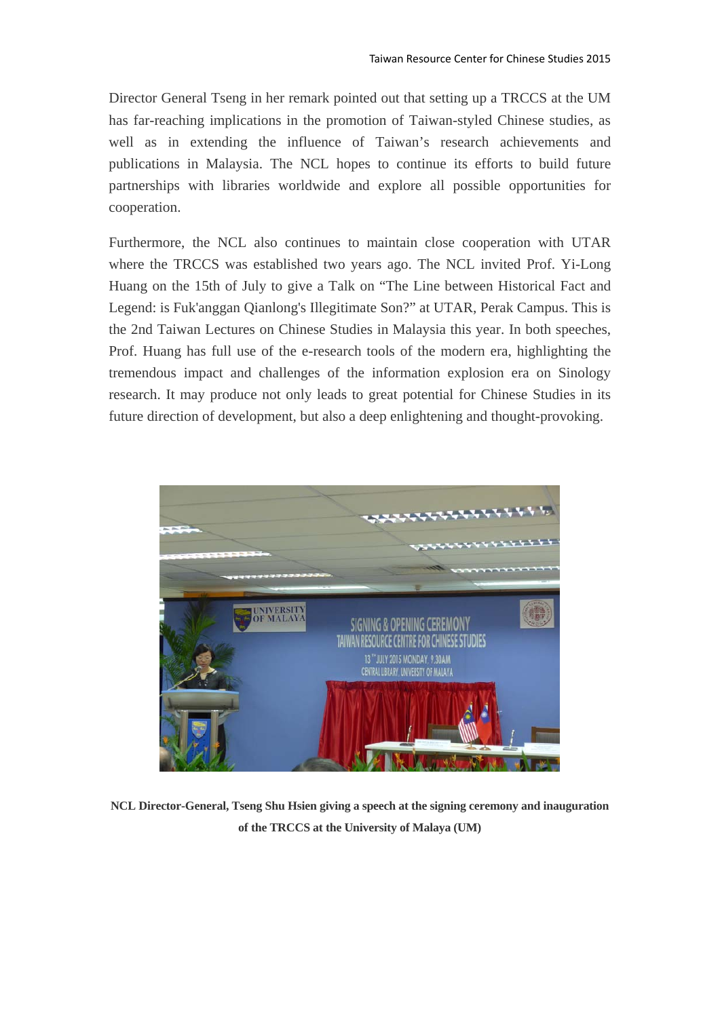Director General Tseng in her remark pointed out that setting up a TRCCS at the UM has far-reaching implications in the promotion of Taiwan-styled Chinese studies, as well as in extending the influence of Taiwan's research achievements and publications in Malaysia. The NCL hopes to continue its efforts to build future partnerships with libraries worldwide and explore all possible opportunities for cooperation.

Furthermore, the NCL also continues to maintain close cooperation with UTAR where the TRCCS was established two years ago. The NCL invited Prof. Yi-Long Huang on the 15th of July to give a Talk on "The Line between Historical Fact and Legend: is Fuk'anggan Qianlong's Illegitimate Son?" at UTAR, Perak Campus. This is the 2nd Taiwan Lectures on Chinese Studies in Malaysia this year. In both speeches, Prof. Huang has full use of the e-research tools of the modern era, highlighting the tremendous impact and challenges of the information explosion era on Sinology research. It may produce not only leads to great potential for Chinese Studies in its future direction of development, but also a deep enlightening and thought-provoking.



**NCL Director-General, Tseng Shu Hsien giving a speech at the signing ceremony and inauguration of the TRCCS at the University of Malaya (UM)**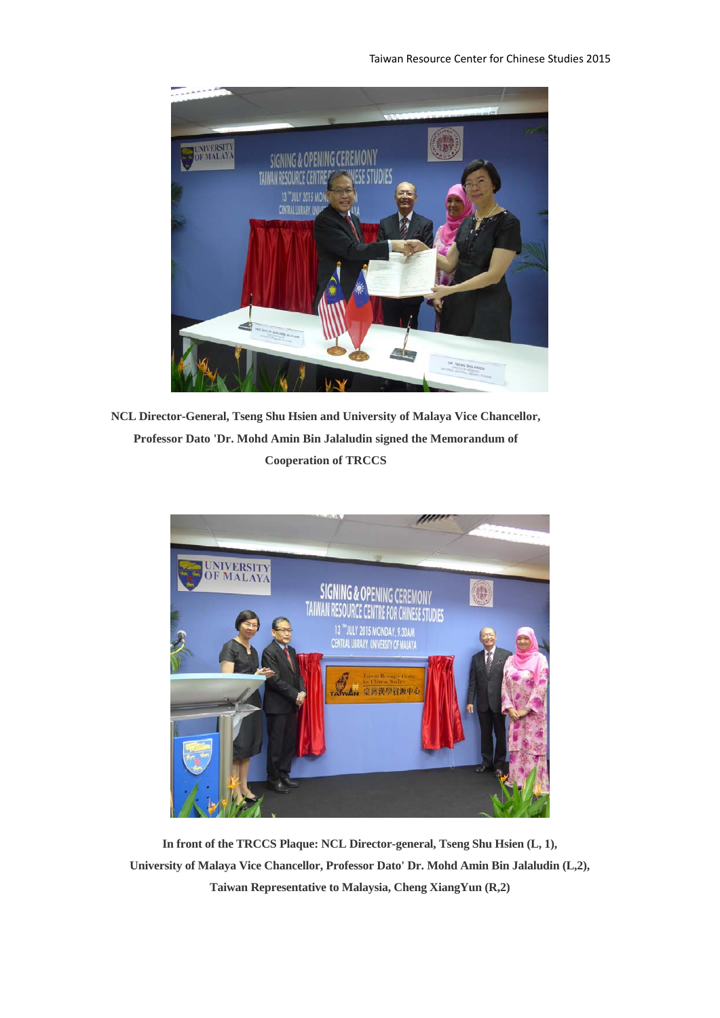

**NCL Director-General, Tseng Shu Hsien and University of Malaya Vice Chancellor, Professor Dato 'Dr. Mohd Amin Bin Jalaludin signed the Memorandum of Cooperation of TRCCS** 



**In front of the TRCCS Plaque: NCL Director-general, Tseng Shu Hsien (L, 1), University of Malaya Vice Chancellor, Professor Dato' Dr. Mohd Amin Bin Jalaludin (L,2), Taiwan Representative to Malaysia, Cheng XiangYun (R,2)**